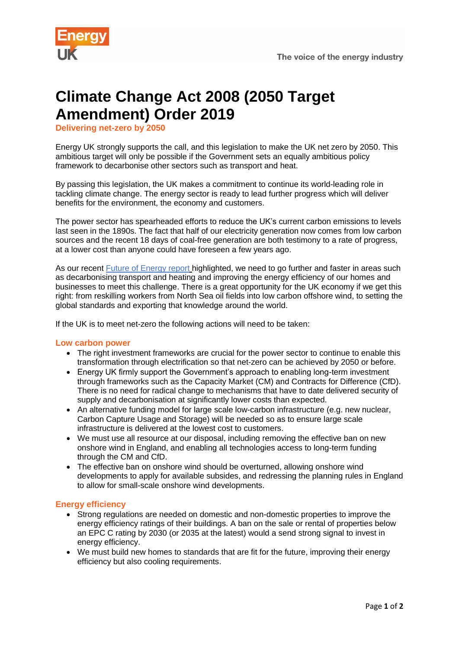

# **Climate Change Act 2008 (2050 Target Amendment) Order 2019**

**Delivering net-zero by 2050**

Energy UK strongly supports the call, and this legislation to make the UK net zero by 2050. This ambitious target will only be possible if the Government sets an equally ambitious policy framework to decarbonise other sectors such as transport and heat.

By passing this legislation, the UK makes a commitment to continue its world-leading role in tackling climate change. The energy sector is ready to lead further progress which will deliver benefits for the environment, the economy and customers.

The power sector has spearheaded efforts to reduce the UK's current carbon emissions to levels last seen in the [1890s](tel:+441890). The fact that half of our electricity generation now comes from low carbon sources and the recent 18 days of coal-free generation are both testimony to a rate of progress, at a lower cost than anyone could have foreseen a few years ago.

As our recent [Future of Energy](https://www.energy-uk.org.uk/our-work/future-of-energy.html) report highlighted, we need to go further and faster in areas such as decarbonising transport and heating and improving the energy efficiency of our homes and businesses to meet this challenge. There is a great opportunity for the UK economy if we get this right: from reskilling workers from North Sea oil fields into low carbon offshore wind, to setting the global standards and exporting that knowledge around the world.

If the UK is to meet net-zero the following actions will need to be taken:

## **Low carbon power**

- The right investment frameworks are crucial for the power sector to continue to enable this transformation through electrification so that net-zero can be achieved by 2050 or before.
- Energy UK firmly support the Government's approach to enabling long-term investment through frameworks such as the Capacity Market (CM) and Contracts for Difference (CfD). There is no need for radical change to mechanisms that have to date delivered security of supply and decarbonisation at significantly lower costs than expected.
- An alternative funding model for large scale low-carbon infrastructure (e.g. new nuclear, Carbon Capture Usage and Storage) will be needed so as to ensure large scale infrastructure is delivered at the lowest cost to customers.
- We must use all resource at our disposal, including removing the effective ban on new onshore wind in England, and enabling all technologies access to long-term funding through the CM and CfD.
- The effective ban on onshore wind should be overturned, allowing onshore wind developments to apply for available subsides, and redressing the planning rules in England to allow for small-scale onshore wind developments.

## **Energy efficiency**

- Strong regulations are needed on domestic and non-domestic properties to improve the energy efficiency ratings of their buildings. A ban on the sale or rental of properties below an EPC C rating by 2030 (or 2035 at the latest) would a send strong signal to invest in energy efficiency.
- We must build new homes to standards that are fit for the future, improving their energy efficiency but also cooling requirements.